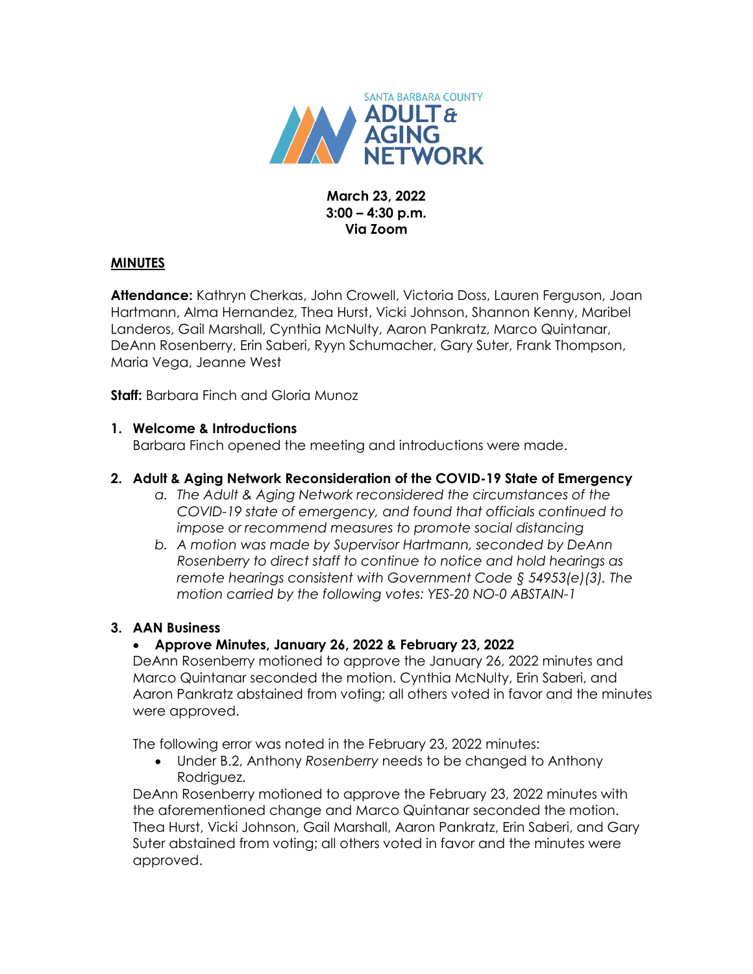

### **March 23, 2022 3:00 – 4:30 p.m. Via Zoom**

### **MINUTES**

**Attendance:** Kathryn Cherkas, John Crowell, Victoria Doss, Lauren Ferguson, Joan Hartmann, Alma Hernandez, Thea Hurst, Vicki Johnson, Shannon Kenny, Maribel Landeros, Gail Marshall, Cynthia McNulty, Aaron Pankratz, Marco Quintanar, DeAnn Rosenberry, Erin Saberi, Ryyn Schumacher, Gary Suter, Frank Thompson, Maria Vega, Jeanne West

**Staff:** Barbara Finch and Gloria Munoz

### **1. Welcome & Introductions**

Barbara Finch opened the meeting and introductions were made.

### **2. Adult & Aging Network Reconsideration of the COVID-19 State of Emergency**

- *a. The Adult & Aging Network reconsidered the circumstances of the COVID-19 state of emergency, and found that officials continued to impose or recommend measures to promote social distancing*
- *b. A motion was made by Supervisor Hartmann, seconded by DeAnn Rosenberry to direct staff to continue to notice and hold hearings as remote hearings consistent with Government Code § 54953(e)(3). The motion carried by the following votes: YES-20 NO-0 ABSTAIN-1*

# **3. AAN Business**

# **Approve Minutes, January 26, 2022 & February 23, 2022**

DeAnn Rosenberry motioned to approve the January 26, 2022 minutes and Marco Quintanar seconded the motion. Cynthia McNulty, Erin Saberi, and Aaron Pankratz abstained from voting; all others voted in favor and the minutes were approved.

The following error was noted in the February 23, 2022 minutes:

 Under B.2, Anthony *Rosenberry* needs to be changed to Anthony Rodriguez.

DeAnn Rosenberry motioned to approve the February 23, 2022 minutes with the aforementioned change and Marco Quintanar seconded the motion. Thea Hurst, Vicki Johnson, Gail Marshall, Aaron Pankratz, Erin Saberi, and Gary Suter abstained from voting; all others voted in favor and the minutes were approved.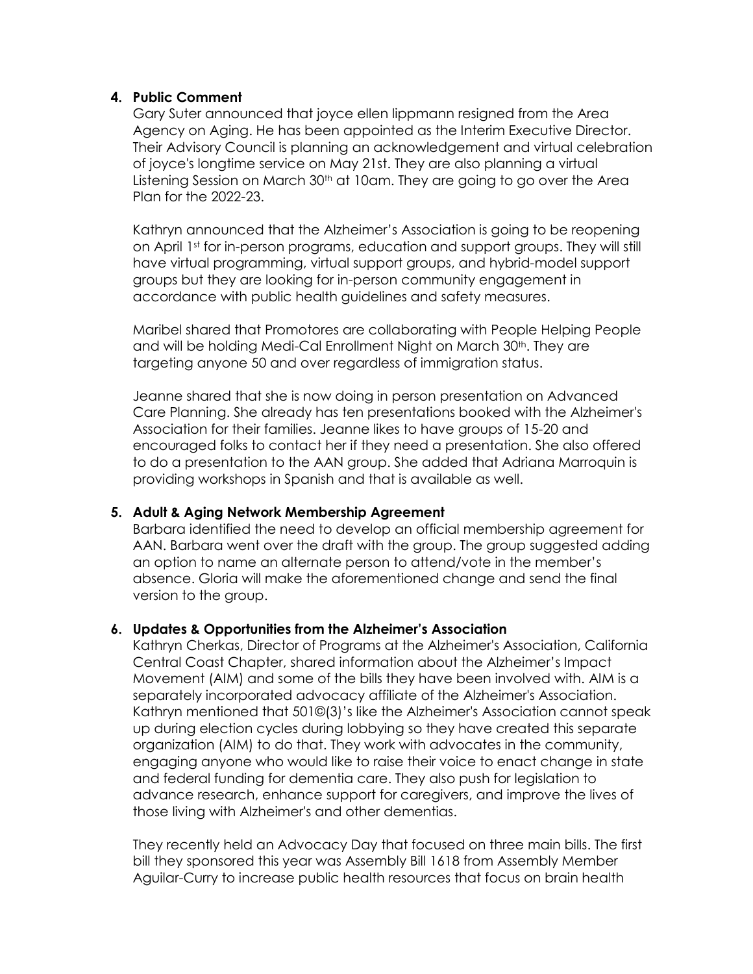### **4. Public Comment**

Gary Suter announced that joyce ellen lippmann resigned from the Area Agency on Aging. He has been appointed as the Interim Executive Director. Their Advisory Council is planning an acknowledgement and virtual celebration of joyce's longtime service on May 21st. They are also planning a virtual Listening Session on March 30<sup>th</sup> at 10am. They are going to go over the Area Plan for the 2022-23.

Kathryn announced that the Alzheimer's Association is going to be reopening on April 1st for in-person programs, education and support groups. They will still have virtual programming, virtual support groups, and hybrid-model support groups but they are looking for in-person community engagement in accordance with public health guidelines and safety measures.

Maribel shared that Promotores are collaborating with People Helping People and will be holding Medi-Cal Enrollment Night on March 30<sup>th</sup>. They are targeting anyone 50 and over regardless of immigration status.

Jeanne shared that she is now doing in person presentation on Advanced Care Planning. She already has ten presentations booked with the Alzheimer's Association for their families. Jeanne likes to have groups of 15-20 and encouraged folks to contact her if they need a presentation. She also offered to do a presentation to the AAN group. She added that Adriana Marroquin is providing workshops in Spanish and that is available as well.

### **5. Adult & Aging Network Membership Agreement**

Barbara identified the need to develop an official membership agreement for AAN. Barbara went over the draft with the group. The group suggested adding an option to name an alternate person to attend/vote in the member's absence. Gloria will make the aforementioned change and send the final version to the group.

# **6. Updates & Opportunities from the Alzheimer's Association**

Kathryn Cherkas, Director of Programs at the Alzheimer's Association, California Central Coast Chapter, shared information about the Alzheimer's Impact Movement (AIM) and some of the bills they have been involved with. AIM is a separately incorporated advocacy affiliate of the Alzheimer's Association. Kathryn mentioned that 501©(3)'s like the Alzheimer's Association cannot speak up during election cycles during lobbying so they have created this separate organization (AIM) to do that. They work with advocates in the community, engaging anyone who would like to raise their voice to enact change in state and federal funding for dementia care. They also push for legislation to advance research, enhance support for caregivers, and improve the lives of those living with Alzheimer's and other dementias.

They recently held an Advocacy Day that focused on three main bills. The first bill they sponsored this year was Assembly Bill 1618 from Assembly Member Aguilar-Curry to increase public health resources that focus on brain health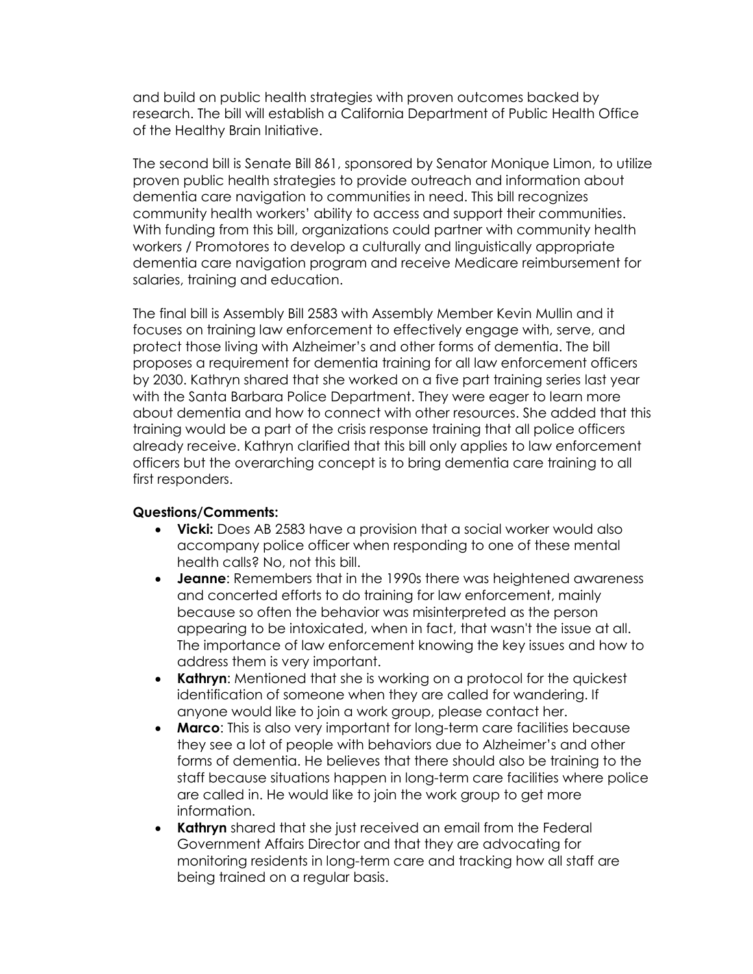and build on public health strategies with proven outcomes backed by research. The bill will establish a California Department of Public Health Office of the Healthy Brain Initiative.

The second bill is Senate Bill 861, sponsored by Senator Monique Limon, to utilize proven public health strategies to provide outreach and information about dementia care navigation to communities in need. This bill recognizes community health workers' ability to access and support their communities. With funding from this bill, organizations could partner with community health workers / Promotores to develop a culturally and linguistically appropriate dementia care navigation program and receive Medicare reimbursement for salaries, training and education.

The final bill is Assembly Bill 2583 with Assembly Member Kevin Mullin and it focuses on training law enforcement to effectively engage with, serve, and protect those living with Alzheimer's and other forms of dementia. The bill proposes a requirement for dementia training for all law enforcement officers by 2030. Kathryn shared that she worked on a five part training series last year with the Santa Barbara Police Department. They were eager to learn more about dementia and how to connect with other resources. She added that this training would be a part of the crisis response training that all police officers already receive. Kathryn clarified that this bill only applies to law enforcement officers but the overarching concept is to bring dementia care training to all first responders.

#### **Questions/Comments:**

- **Vicki:** Does AB 2583 have a provision that a social worker would also accompany police officer when responding to one of these mental health calls? No, not this bill.
- **Jeanne**: Remembers that in the 1990s there was heightened awareness and concerted efforts to do training for law enforcement, mainly because so often the behavior was misinterpreted as the person appearing to be intoxicated, when in fact, that wasn't the issue at all. The importance of law enforcement knowing the key issues and how to address them is very important.
- **Kathryn**: Mentioned that she is working on a protocol for the quickest identification of someone when they are called for wandering. If anyone would like to join a work group, please contact her.
- **Marco**: This is also very important for long-term care facilities because they see a lot of people with behaviors due to Alzheimer's and other forms of dementia. He believes that there should also be training to the staff because situations happen in long-term care facilities where police are called in. He would like to join the work group to get more information.
- **Kathryn** shared that she just received an email from the Federal Government Affairs Director and that they are advocating for monitoring residents in long-term care and tracking how all staff are being trained on a regular basis.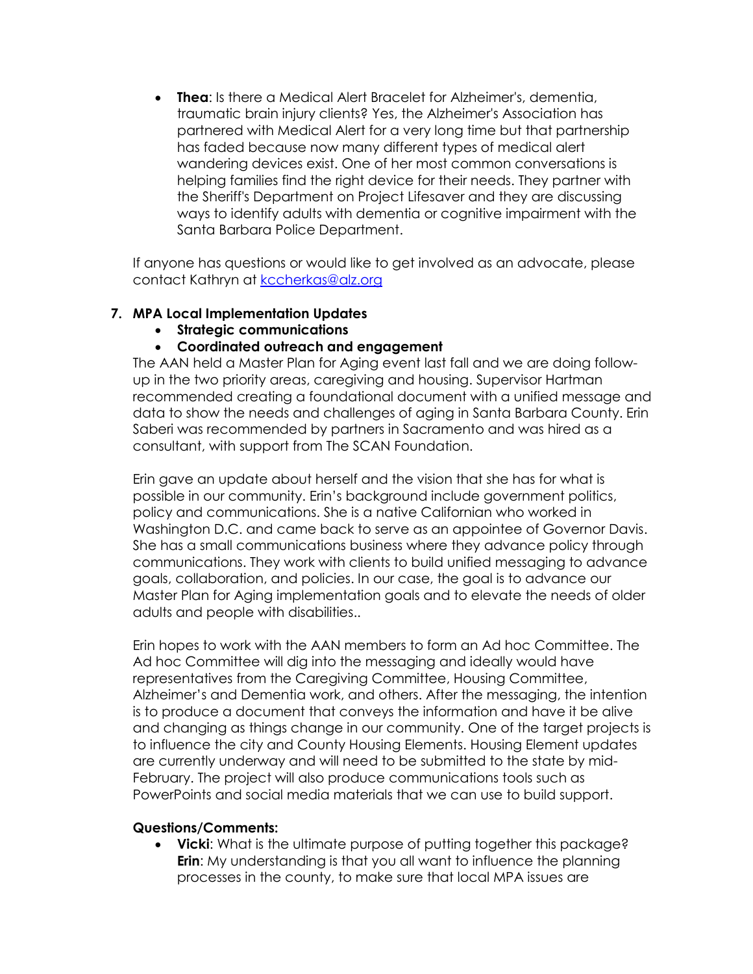**Thea**: Is there a Medical Alert Bracelet for Alzheimer's, dementia, traumatic brain injury clients? Yes, the Alzheimer's Association has partnered with Medical Alert for a very long time but that partnership has faded because now many different types of medical alert wandering devices exist. One of her most common conversations is helping families find the right device for their needs. They partner with the Sheriff's Department on Project Lifesaver and they are discussing ways to identify adults with dementia or cognitive impairment with the Santa Barbara Police Department.

If anyone has questions or would like to get involved as an advocate, please contact Kathryn at [kccherkas@alz.org](mailto:kccherkas@alz.org)

# **7. MPA Local Implementation Updates**

**Strategic communications** 

# **Coordinated outreach and engagement**

The AAN held a Master Plan for Aging event last fall and we are doing followup in the two priority areas, caregiving and housing. Supervisor Hartman recommended creating a foundational document with a unified message and data to show the needs and challenges of aging in Santa Barbara County. Erin Saberi was recommended by partners in Sacramento and was hired as a consultant, with support from The SCAN Foundation.

Erin gave an update about herself and the vision that she has for what is possible in our community. Erin's background include government politics, policy and communications. She is a native Californian who worked in Washington D.C. and came back to serve as an appointee of Governor Davis. She has a small communications business where they advance policy through communications. They work with clients to build unified messaging to advance goals, collaboration, and policies. In our case, the goal is to advance our Master Plan for Aging implementation goals and to elevate the needs of older adults and people with disabilities..

Erin hopes to work with the AAN members to form an Ad hoc Committee. The Ad hoc Committee will dig into the messaging and ideally would have representatives from the Caregiving Committee, Housing Committee, Alzheimer's and Dementia work, and others. After the messaging, the intention is to produce a document that conveys the information and have it be alive and changing as things change in our community. One of the target projects is to influence the city and County Housing Elements. Housing Element updates are currently underway and will need to be submitted to the state by mid-February. The project will also produce communications tools such as PowerPoints and social media materials that we can use to build support.

### **Questions/Comments:**

**Vicki:** What is the ultimate purpose of putting together this package? **Erin:** My understanding is that you all want to influence the planning processes in the county, to make sure that local MPA issues are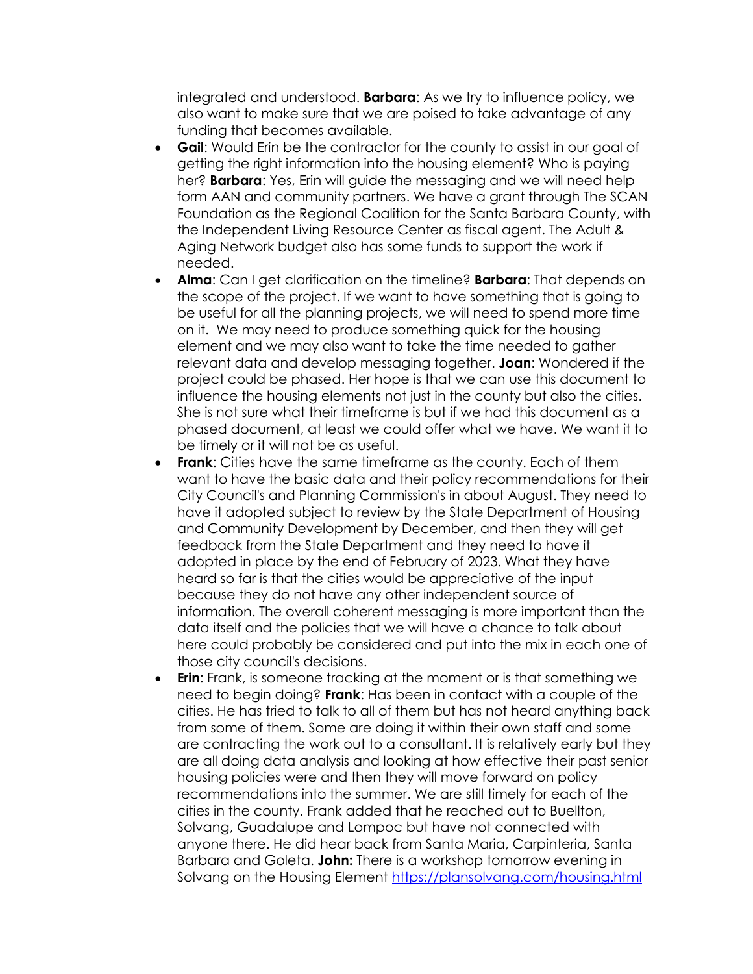integrated and understood. **Barbara**: As we try to influence policy, we also want to make sure that we are poised to take advantage of any funding that becomes available.

- **Gail**: Would Erin be the contractor for the county to assist in our goal of getting the right information into the housing element? Who is paying her? **Barbara**: Yes, Erin will guide the messaging and we will need help form AAN and community partners. We have a grant through The SCAN Foundation as the Regional Coalition for the Santa Barbara County, with the Independent Living Resource Center as fiscal agent. The Adult & Aging Network budget also has some funds to support the work if needed.
- **Alma**: Can I get clarification on the timeline? **Barbara**: That depends on the scope of the project. If we want to have something that is going to be useful for all the planning projects, we will need to spend more time on it. We may need to produce something quick for the housing element and we may also want to take the time needed to gather relevant data and develop messaging together. **Joan**: Wondered if the project could be phased. Her hope is that we can use this document to influence the housing elements not just in the county but also the cities. She is not sure what their timeframe is but if we had this document as a phased document, at least we could offer what we have. We want it to be timely or it will not be as useful.
- **Frank**: Cities have the same timeframe as the county. Each of them want to have the basic data and their policy recommendations for their City Council's and Planning Commission's in about August. They need to have it adopted subject to review by the State Department of Housing and Community Development by December, and then they will get feedback from the State Department and they need to have it adopted in place by the end of February of 2023. What they have heard so far is that the cities would be appreciative of the input because they do not have any other independent source of information. The overall coherent messaging is more important than the data itself and the policies that we will have a chance to talk about here could probably be considered and put into the mix in each one of those city council's decisions.
- **Erin**: Frank, is someone tracking at the moment or is that something we need to begin doing? **Frank**: Has been in contact with a couple of the cities. He has tried to talk to all of them but has not heard anything back from some of them. Some are doing it within their own staff and some are contracting the work out to a consultant. It is relatively early but they are all doing data analysis and looking at how effective their past senior housing policies were and then they will move forward on policy recommendations into the summer. We are still timely for each of the cities in the county. Frank added that he reached out to Buellton, Solvang, Guadalupe and Lompoc but have not connected with anyone there. He did hear back from Santa Maria, Carpinteria, Santa Barbara and Goleta. **John:** There is a workshop tomorrow evening in Solvang on the Housing Element<https://plansolvang.com/housing.html>